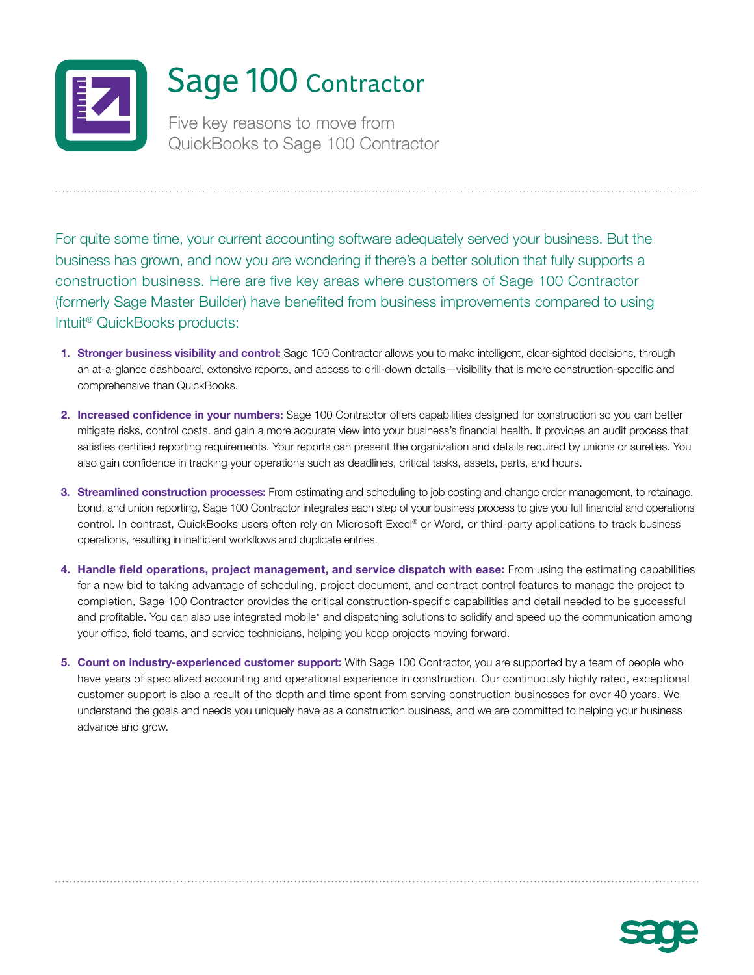

For quite some time, your current accounting software adequately served your business. But the business has grown, and now you are wondering if there's a better solution that fully supports a construction business. Here are five key areas where customers of Sage 100 Contractor (formerly Sage Master Builder) have benefited from business improvements compared to using Intuit® QuickBooks products:

- **1. [Stronger business visibility and control:](#page-1-0)** Sage 100 Contractor allows you to make intelligent, clear-sighted decisions, through an at-a-glance dashboard, extensive reports, and access to drill-down details—visibility that is more construction-specific and comprehensive than QuickBooks.
- **2. [Increased confidence in your numbers:](#page-1-0)** Sage 100 Contractor offers capabilities designed for construction so you can better mitigate risks, control costs, and gain a more accurate view into your business's financial health. It provides an audit process that satisfies certified reporting requirements. Your reports can present the organization and details required by unions or sureties. You also gain confidence in tracking your operations such as deadlines, critical tasks, assets, parts, and hours.
- **3. [Streamlined construction processes:](#page-1-0)** From estimating and scheduling to job costing and change order management, to retainage, bond, and union reporting, Sage 100 Contractor integrates each step of your business process to give you full financial and operations control. In contrast, QuickBooks users often rely on Microsoft Excel® or Word, or third-party applications to track business operations, resulting in inefficient workflows and duplicate entries.
- **4. [Handle field operations, project management, and service dispatch with ease:](#page-2-0)** From using the estimating capabilities for a new bid to taking advantage of scheduling, project document, and contract control features to manage the project to completion, Sage 100 Contractor provides the critical construction-specific capabilities and detail needed to be successful and profitable. You can also use integrated mobile\* and dispatching solutions to solidify and speed up the communication among your office, field teams, and service technicians, helping you keep projects moving forward.
- **5. [Count on industry-experienced customer support:](#page-2-0)** With Sage 100 Contractor, you are supported by a team of people who have years of specialized accounting and operational experience in construction. Our continuously highly rated, exceptional customer support is also a result of the depth and time spent from serving construction businesses for over 40 years. We understand the goals and needs you uniquely have as a construction business, and we are committed to helping your business advance and grow.

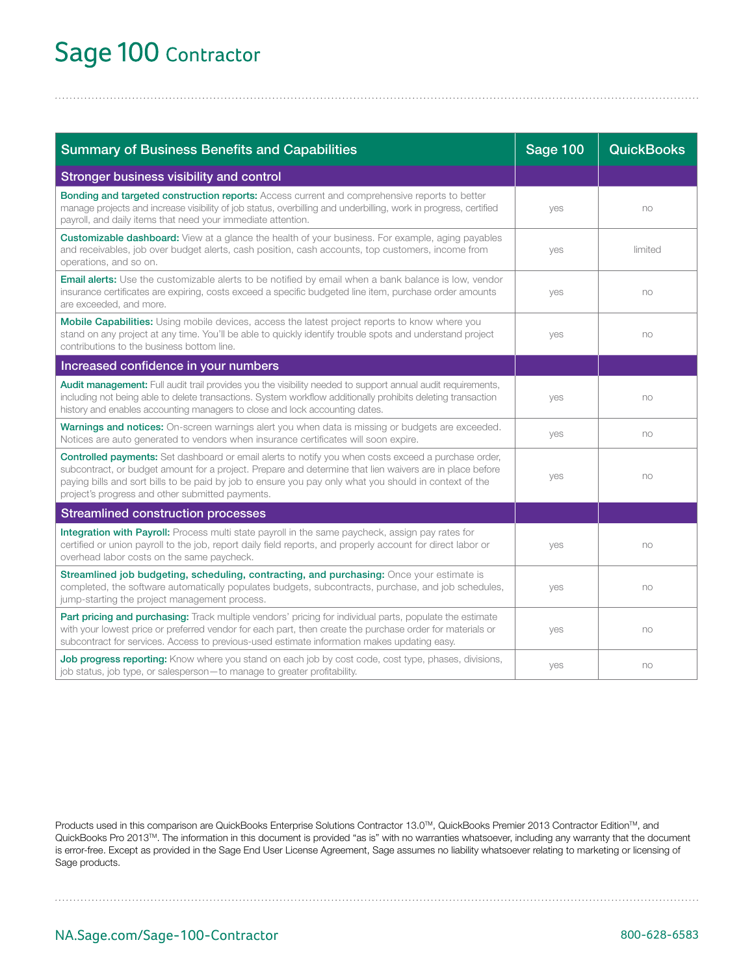## <span id="page-1-0"></span>Sage 100 Contractor

| <b>Summary of Business Benefits and Capabilities</b>                                                                                                                                                                                                                                                                                                                                  | <b>Sage 100</b> | <b>QuickBooks</b> |
|---------------------------------------------------------------------------------------------------------------------------------------------------------------------------------------------------------------------------------------------------------------------------------------------------------------------------------------------------------------------------------------|-----------------|-------------------|
| Stronger business visibility and control                                                                                                                                                                                                                                                                                                                                              |                 |                   |
| Bonding and targeted construction reports: Access current and comprehensive reports to better<br>manage projects and increase visibility of job status, overbilling and underbilling, work in progress, certified<br>payroll, and daily items that need your immediate attention.                                                                                                     | yes             | no                |
| <b>Customizable dashboard:</b> View at a glance the health of your business. For example, aging payables<br>and receivables, job over budget alerts, cash position, cash accounts, top customers, income from<br>operations, and so on.                                                                                                                                               | yes             | limited           |
| <b>Email alerts:</b> Use the customizable alerts to be notified by email when a bank balance is low, vendor<br>insurance certificates are expiring, costs exceed a specific budgeted line item, purchase order amounts<br>are exceeded, and more.                                                                                                                                     | yes             | no                |
| Mobile Capabilities: Using mobile devices, access the latest project reports to know where you<br>stand on any project at any time. You'll be able to quickly identify trouble spots and understand project<br>contributions to the business bottom line.                                                                                                                             | yes             | no                |
| Increased confidence in your numbers                                                                                                                                                                                                                                                                                                                                                  |                 |                   |
| Audit management: Full audit trail provides you the visibility needed to support annual audit requirements,<br>including not being able to delete transactions. System workflow additionally prohibits deleting transaction<br>history and enables accounting managers to close and lock accounting dates.                                                                            | yes             | no                |
| Warnings and notices: On-screen warnings alert you when data is missing or budgets are exceeded.<br>Notices are auto generated to vendors when insurance certificates will soon expire.                                                                                                                                                                                               | yes             | no                |
| <b>Controlled payments:</b> Set dashboard or email alerts to notify you when costs exceed a purchase order,<br>subcontract, or budget amount for a project. Prepare and determine that lien waivers are in place before<br>paying bills and sort bills to be paid by job to ensure you pay only what you should in context of the<br>project's progress and other submitted payments. | yes             | no                |
| <b>Streamlined construction processes</b>                                                                                                                                                                                                                                                                                                                                             |                 |                   |
| Integration with Payroll: Process multi state payroll in the same paycheck, assign pay rates for<br>certified or union payroll to the job, report daily field reports, and properly account for direct labor or<br>overhead labor costs on the same paycheck.                                                                                                                         | yes             | no                |
| Streamlined job budgeting, scheduling, contracting, and purchasing: Once your estimate is<br>completed, the software automatically populates budgets, subcontracts, purchase, and job schedules,<br>jump-starting the project management process.                                                                                                                                     | yes             | no                |
| <b>Part pricing and purchasing:</b> Track multiple vendors' pricing for individual parts, populate the estimate<br>with your lowest price or preferred vendor for each part, then create the purchase order for materials or<br>subcontract for services. Access to previous-used estimate information makes updating easy.                                                           | yes             | no                |
| Job progress reporting: Know where you stand on each job by cost code, cost type, phases, divisions,<br>job status, job type, or salesperson-to manage to greater profitability.                                                                                                                                                                                                      | yes             | no                |

Products used in this comparison are QuickBooks Enterprise Solutions Contractor 13.0™, QuickBooks Premier 2013 Contractor Edition™, and QuickBooks Pro 2013TM. The information in this document is provided "as is" with no warranties whatsoever, including any warranty that the document is error-free. Except as provided in the Sage End User License Agreement, Sage assumes no liability whatsoever relating to marketing or licensing of Sage products.

<NA.Sage.com/Sage-100-Contractor> 800-628-6583